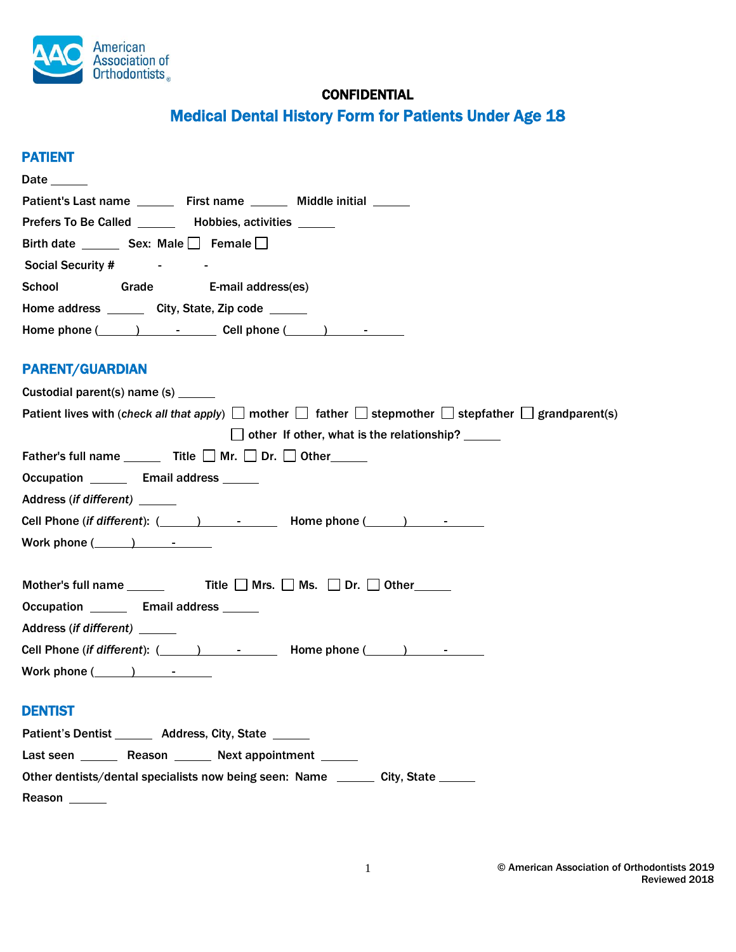

# **CONFIDENTIAL**

# Medical Dental History Form for Patients Under Age 18

## PATIENT

| <b>Date</b>                                             |                          |                                                                         |  |
|---------------------------------------------------------|--------------------------|-------------------------------------------------------------------------|--|
|                                                         |                          | Patient's Last name ________ First name ________ Middle initial _______ |  |
| Prefers To Be Called _______ Hobbies, activities ______ |                          |                                                                         |  |
| Birth date __________ Sex: Male ______ Female _____     |                          |                                                                         |  |
| <b>Social Security #</b>                                |                          |                                                                         |  |
| School                                                  | Grade E-mail address(es) |                                                                         |  |
| Home address ________ City, State, Zip code ______      |                          |                                                                         |  |
|                                                         |                          | Home phone $(\_\_\_\_$ $\_\_\_$ $\_\_$ Cell phone $(\_\_\_)$ $\_\_$     |  |

# PARENT/GUARDIAN

| Custodial parent(s) name (s) ______                                                                                             |
|---------------------------------------------------------------------------------------------------------------------------------|
| Patient lives with (check all that apply) $\Box$ mother $\Box$ father $\Box$ stepmother $\Box$ stepfather $\Box$ grandparent(s) |
| $\Box$ other If other, what is the relationship? ______                                                                         |
| Father's full name $\quad \blacksquare$ Title $\Box$ Mr. $\Box$ Dr. $\Box$ Other                                                |
| Occupation ________ Email address ______                                                                                        |
| Address (if different) ______                                                                                                   |
|                                                                                                                                 |
| Work phone $(\_\_\_\_$                                                                                                          |
|                                                                                                                                 |
| Mother's full name $\_\_\_\_\$ Title $\_\_\$ Mrs. $\_\_\$ Ms. $\_\_\$ Dr. $\_\_\$ Other                                         |
| Occupation <b>Email address</b> 1                                                                                               |
| Address (if different) ______                                                                                                   |
| Cell Phone (if different): $($ $)$ $ -$ Home phone $($ $)$ $ -$                                                                 |
| Work phone $(\_\_\_\_$                                                                                                          |
|                                                                                                                                 |
| <b>DENTIST</b>                                                                                                                  |
| Patient's Dentist _______ Address, City, State ______                                                                           |
| Last seen ________ Reason _______ Next appointment ______                                                                       |
| Other dentists/dental specialists now being seen: Name ________ City, State _____                                               |
| Reason                                                                                                                          |
|                                                                                                                                 |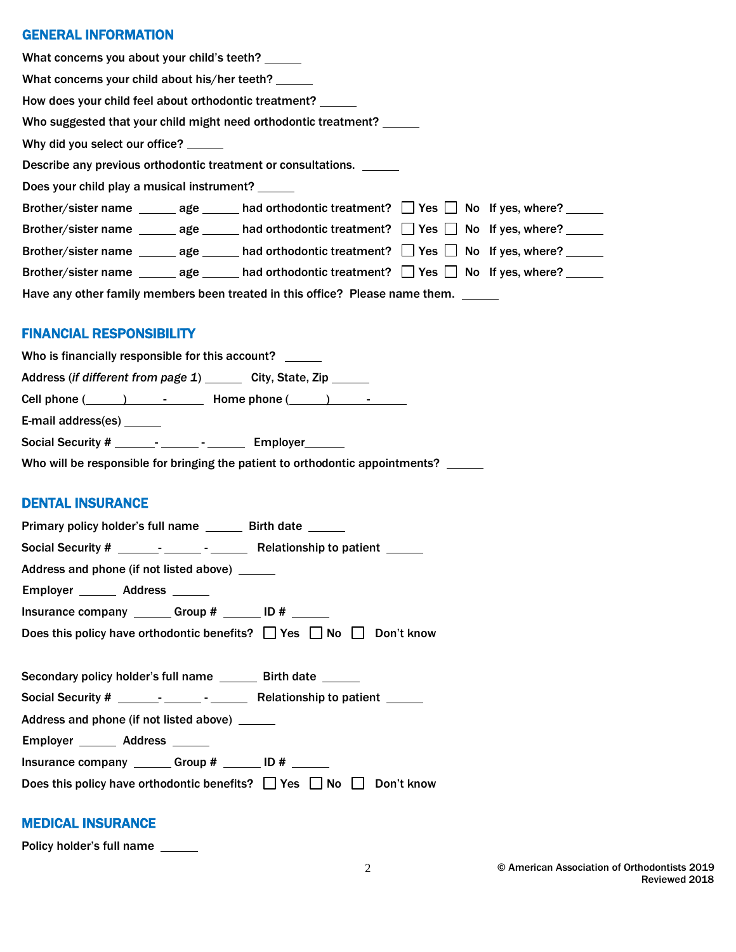# GENERAL INFORMATION

| What concerns you about your child's teeth?                  |  |                                                                                                                   |  |  |
|--------------------------------------------------------------|--|-------------------------------------------------------------------------------------------------------------------|--|--|
| What concerns your child about his/her teeth? ______         |  |                                                                                                                   |  |  |
| How does your child feel about orthodontic treatment? ______ |  |                                                                                                                   |  |  |
|                                                              |  | Who suggested that your child might need orthodontic treatment?                                                   |  |  |
| Why did you select our office?                               |  |                                                                                                                   |  |  |
|                                                              |  | Describe any previous orthodontic treatment or consultations.                                                     |  |  |
| Does your child play a musical instrument?                   |  |                                                                                                                   |  |  |
|                                                              |  | Brother/sister name ________ age _______ had orthodontic treatment? $\Box$ Yes $\Box$ No If yes, where? ______    |  |  |
|                                                              |  | Brother/sister name ________ age _______ had orthodontic treatment? $\Box$ Yes $\Box$ No If yes, where? _______   |  |  |
|                                                              |  | Brother/sister name $\_\_\_\_$ age $\_\_\_\$ had orthodontic treatment? $\_\_\$ Yes $\_\_\_\$ No If yes, where?   |  |  |
|                                                              |  | Brother/sister name _________ age ________ had orthodontic treatment? $\Box$ Yes $\Box$ No If yes, where? _______ |  |  |
|                                                              |  | Have any other family members been treated in this office? Please name them. _____                                |  |  |

# FINANCIAL RESPONSIBILITY

| Who is financially responsible for this account?                                     |
|--------------------------------------------------------------------------------------|
| Address (if different from page 1) ________ City, State, Zip ______                  |
| Cell phone $(\_\_\_\_)$ $\_\_\_\_$ Home phone $(\_\_\_\_)$ $\_\_\_\_\_$              |
| E-mail address(es) _______                                                           |
|                                                                                      |
| Who will be responsible for bringing the patient to orthodontic appointments? ______ |

# DENTAL INSURANCE

| Primary policy holder's full name _______ Birth date ______                        |
|------------------------------------------------------------------------------------|
|                                                                                    |
| Address and phone (if not listed above) ______                                     |
| Employer _______ Address ______                                                    |
| Insurance company $\frac{1}{2}$ Group # $\frac{1}{2}$ ID # $\frac{1}{2}$           |
| Does this policy have orthodontic benefits? $\Box$ Yes $\Box$ No $\Box$ Don't know |
|                                                                                    |
| Secondary policy holder's full name _______ Birth date ______                      |
|                                                                                    |
| Address and phone (if not listed above) ______                                     |
| Employer _______ Address ______                                                    |
| Insurance company ________ Group # _______ ID # ______                             |
| Does this policy have orthodontic benefits? $\Box$ Yes $\Box$ No $\Box$ Don't know |

## MEDICAL INSURANCE

Policy holder's full name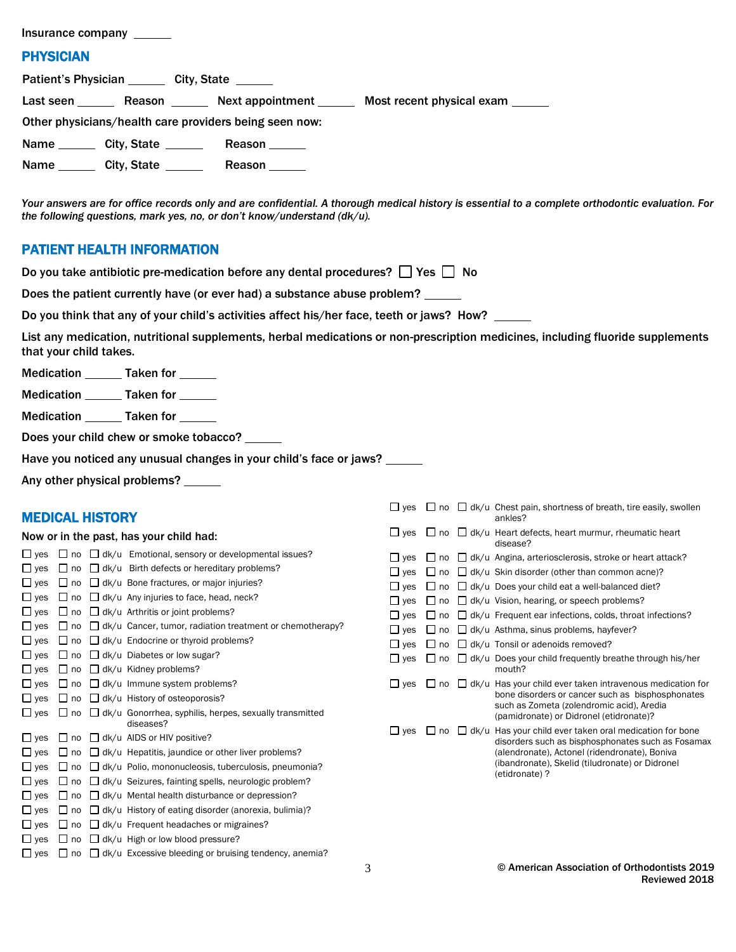| Insurance company                                                                                  |  |  |  |  |
|----------------------------------------------------------------------------------------------------|--|--|--|--|
| <b>PHYSICIAN</b>                                                                                   |  |  |  |  |
| Patient's Physician ________ City, State ______                                                    |  |  |  |  |
| Last seen _________ Reason __________ Next appointment _________ Most recent physical exam _______ |  |  |  |  |
| Other physicians/health care providers being seen now:                                             |  |  |  |  |
| Name City, State<br>Reason ______                                                                  |  |  |  |  |
| Name City, State<br>Reason ______                                                                  |  |  |  |  |
|                                                                                                    |  |  |  |  |

*Your answers are for office records only and are confidential. A thorough medical history is essential to a complete orthodontic evaluation. For the following questions, mark yes, no, or don't know/understand (dk/u).*

## PATIENT HEALTH INFORMATION

|  | Do you take antibiotic pre-medication before any dental procedures? $\Box$ Yes $\Box$ No |  |  |  |
|--|------------------------------------------------------------------------------------------|--|--|--|
|  |                                                                                          |  |  |  |

Does the patient currently have (or ever had) a substance abuse problem?

Do you think that any of your child's activities affect his/her face, teeth or jaws? How? \_\_\_\_\_

List any medication, nutritional supplements, herbal medications or non-prescription medicines, including fluoride supplements that your child takes.

Medication \_\_\_\_\_\_\_ Taken for \_\_\_\_\_\_

Medication \_\_\_\_\_\_\_ Taken for \_\_\_\_\_\_

Medication \_\_\_\_\_\_\_ Taken for \_\_\_\_

Does your child chew or smoke tobacco? \_\_\_\_\_\_

Have you noticed any unusual changes in your child's face or jaws? \_\_\_\_\_

Any other physical problems? \_\_\_\_\_

#### MEDICAL HISTORY

#### Now or in the past, has your child had:

| yes                          | no        |              | dk/u Emotional, sensory or developmental issues?                           |
|------------------------------|-----------|--------------|----------------------------------------------------------------------------|
| yes                          | no        |              | dk/u Birth defects or hereditary problems?                                 |
| yes<br>. .                   | no        |              | $\Box$ dk/u Bone fractures, or major injuries?                             |
| $\sqcup$ yes                 | no        |              | $\Box$ dk/u Any injuries to face, head, neck?                              |
| $\Box$ yes                   | no        |              | $\Box$ dk/u Arthritis or joint problems?                                   |
| $\sqcup$ ves                 | no        |              | dk/u Cancer, tumor, radiation treatment or chemotherapy?                   |
| $\sqcup$ yes                 | no        |              | $\Box$ dk/u Endocrine or thyroid problems?                                 |
| $\Box$ yes                   | no        |              | $\Box$ dk/u Diabetes or low sugar?                                         |
| $\Box$ yes                   | no        |              | dk/u Kidney problems?                                                      |
| $L$ yes                      | no        |              | dk/u Immune system problems?                                               |
| $\sqcup$ ves                 | no        | $\mathbf{1}$ | dk/u History of osteoporosis?                                              |
| $\sqcup$ yes                 | no        |              | $\Box$ dk/u Gonorrhea, syphilis, herpes, sexually transmitted<br>diseases? |
| $\sqcup$ ves                 | $\Box$ no |              | $\Box$ dk/u AIDS or HIV positive?                                          |
| $\sqcup$ yes                 | no        |              | $\Box$ dk/u Hepatitis, jaundice or other liver problems?                   |
| $\sqcup$ ves                 | no        |              | $\Box$ dk/u Polio, mononucleosis, tuberculosis, pneumonia?                 |
| $\overline{\phantom{a}}$ ves | no        |              | dk/u Seizures, fainting spells, neurologic problem?                        |
| $\square$ ves                | no        |              | $\Box$ dk/u Mental health disturbance or depression?                       |
| $\sqcup$ yes                 | no        |              | $\Box$ dk/u History of eating disorder (anorexia, bulimia)?                |
| $\sqcup$ ves                 | no        | $\mathsf{L}$ | dk/u Frequent headaches or migraines?                                      |
| yes                          | no        |              | dk/u High or low blood pressure?                                           |
| ves                          | no        |              | dk/u Excessive bleeding or bruising tendency, anemia?                      |

| $\Box$ yes   |                    | $\Box$ no $\Box$ dk/u Chest pain, shortness of breath, tire easily, swollen<br>ankles?                                                                                                                                                              |
|--------------|--------------------|-----------------------------------------------------------------------------------------------------------------------------------------------------------------------------------------------------------------------------------------------------|
| $\Box$ yes   |                    | $\Box$ no $\Box$ dk/u Heart defects, heart murmur, rheumatic heart<br>disease?                                                                                                                                                                      |
| $\Box$ yes   | $\mathbf{L}$<br>no | $\Box$ dk/u Angina, arteriosclerosis, stroke or heart attack?                                                                                                                                                                                       |
| $\Box$ yes   | l I no             | $\Box$ dk/u Skin disorder (other than common acne)?                                                                                                                                                                                                 |
| $\Box$ yes   | no<br>$\perp$      | $\Box$ dk/u Does your child eat a well-balanced diet?                                                                                                                                                                                               |
| $\Box$ yes   | no                 | $\Box$ dk/u Vision, hearing, or speech problems?                                                                                                                                                                                                    |
| $\sqcup$ yes | no                 | $\Box$ dk/u Frequent ear infections, colds, throat infections?                                                                                                                                                                                      |
| $\Box$ yes   | no                 | $\Box$ dk/u Asthma, sinus problems, hayfever?                                                                                                                                                                                                       |
| $\Box$ yes   | l I no             | $\Box$ dk/u Tonsil or adenoids removed?                                                                                                                                                                                                             |
| $\Box$ yes   | no<br>l I          | $\Box$ dk/u Does your child frequently breathe through his/her<br>mouth?                                                                                                                                                                            |
| $\sqcup$ yes | no<br>$\mathbf{L}$ | $\Box$ dk/u Has your child ever taken intravenous medication for<br>bone disorders or cancer such as bisphosphonates<br>such as Zometa (zolendromic acid), Aredia<br>(pamidronate) or Didronel (etidronate)?                                        |
| $\sqcup$ ves |                    | $\Box$ no $\Box$ dk/u Has your child ever taken oral medication for bone<br>disorders such as bisphosphonates such as Fosamax<br>(alendronate), Actonel (ridendronate), Boniva<br>(ibandronate), Skelid (tiludronate) or Didronel<br>(etidronate) ? |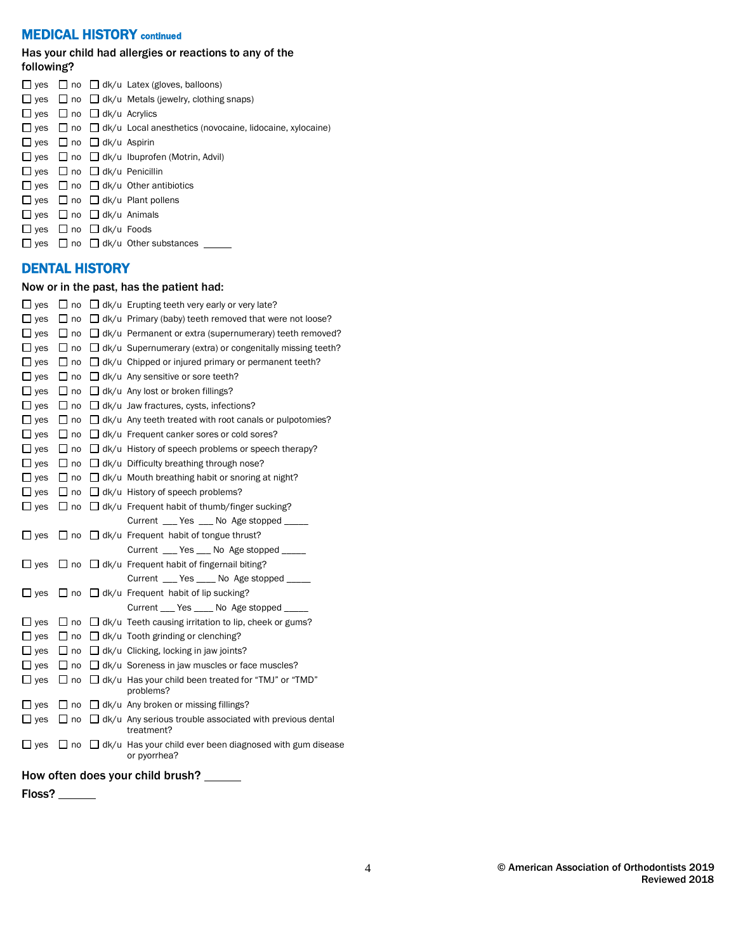# **MEDICAL HISTORY** continued

#### Has your child had allergies or reactions to any of the following?

|  |                                           | $\Box$ yes $\Box$ no $\Box$ dk/u Latex (gloves, balloons)                            |
|--|-------------------------------------------|--------------------------------------------------------------------------------------|
|  |                                           | $\Box$ yes $\Box$ no $\Box$ dk/u Metals (jewelry, clothing snaps)                    |
|  | $\Box$ yes $\Box$ no $\Box$ dk/u Acrylics |                                                                                      |
|  |                                           | $\Box$ yes $\Box$ no $\Box$ dk/u Local anesthetics (novocaine, lidocaine, xylocaine) |
|  | $\Box$ yes $\Box$ no $\Box$ dk/u Aspirin  |                                                                                      |
|  |                                           | $\Box$ yes $\Box$ no $\Box$ dk/u Ibuprofen (Motrin, Advil)                           |
|  |                                           | $\Box$ yes $\Box$ no $\Box$ dk/u Penicillin                                          |
|  |                                           | $\Box$ yes $\Box$ no $\Box$ dk/u Other antibiotics                                   |
|  |                                           | $\Box$ yes $\Box$ no $\Box$ dk/u Plant pollens                                       |
|  | $\Box$ yes $\Box$ no $\Box$ dk/u Animals  |                                                                                      |
|  | $\Box$ yes $\Box$ no $\Box$ dk/u Foods    |                                                                                      |
|  |                                           | $\Box$ yes $\Box$ no $\Box$ dk/u Other substances                                    |
|  |                                           |                                                                                      |

# DENTAL HISTORY

### Now or in the past, has the patient had:

| $\overline{\phantom{a}}$ yes | $\sqcup$ no  | $\Box$ dk/u Erupting teeth very early or very late?                             |
|------------------------------|--------------|---------------------------------------------------------------------------------|
| . yes                        | $\sqcup$ no  | $\Box$ dk/u Primary (baby) teeth removed that were not loose?                   |
| $\sqcup$ yes                 | $\sqcup$ no  | $\Box$ dk/u Permanent or extra (supernumerary) teeth removed?                   |
| $\sqcup$ yes                 | $\sqcup$ no  | $\Box$ dk/u Supernumerary (extra) or congenitally missing teeth?                |
| $\Box$ yes                   | $\sqcup$ no  | $\Box$ dk/u Chipped or injured primary or permanent teeth?                      |
| $\Box$ yes                   | $\square$ no | $\Box$ dk/u Any sensitive or sore teeth?                                        |
| $\Box$ yes                   | $\sqcup$ no  | $\Box$ dk/u Any lost or broken fillings?                                        |
| $\Box$ yes                   | $\sqcup$ no  | $\Box$ dk/u Jaw fractures, cysts, infections?                                   |
| $\sqcup$ yes                 | $\sqcup$ no  | $\Box$ dk/u Any teeth treated with root canals or pulpotomies?                  |
| $\Box$ yes                   | $\sqcup$ no  | $\Box$ dk/u Frequent canker sores or cold sores?                                |
| $\sqcup$ yes                 | $\square$ no | $\Box$ dk/u History of speech problems or speech therapy?                       |
| $\Box$ yes                   | $\sqcup$ no  | $\Box$ dk/u Difficulty breathing through nose?                                  |
| $\Box$ yes                   | $\sqcup$ no  | $\Box$ dk/u Mouth breathing habit or snoring at night?                          |
| $\Box$ yes                   | $\sqcup$ no  | $\Box$ dk/u History of speech problems?                                         |
| $\Box$ yes                   | $\sqcup$ no  | $\Box$ dk/u Frequent habit of thumb/finger sucking?                             |
|                              |              | Current _____ Yes _____ No Age stopped ______                                   |
| $\sqsupset$ yes              | ⊿ no         | $\Box$ dk/u Frequent habit of tongue thrust?                                    |
|                              |              | Current __ Yes __ No Age stopped ____                                           |
| $\mathsf{\,I}$ yes           | $\Box$ no    | $\Box$ dk/u Frequent habit of fingernail biting?                                |
|                              |              | Current _____ Yes ______ No Age stopped ______                                  |
| $\square$ yes                | $\sqcup$ no  | $\Box$ dk/u Frequent habit of lip sucking?                                      |
|                              |              | Current ____ Yes _____ No Age stopped                                           |
| $\Box$ yes                   | $\sqcup$ no  | $\Box$ dk/u Teeth causing irritation to lip, cheek or gums?                     |
| $\mathsf{I}$ yes             | $\sqcup$ no  | $\Box$ dk/u Tooth grinding or clenching?                                        |
| $\square$ yes                | $\sqcup$ no  | $\Box$ dk/u Clicking, locking in jaw joints?                                    |
| $\overline{\phantom{a}}$ yes | $\sqcup$ no  | $\Box$ dk/u Soreness in jaw muscles or face muscles?                            |
| $\sqcup$ yes                 | $\sqcup$ no  | $\Box$ dk/u Has your child been treated for "TMJ" or "TMD"<br>problems?         |
| $\Box$ yes                   | ∟ no         | $\Box$ dk/u Any broken or missing fillings?                                     |
| $\Box$ yes                   | $\sqcup$ no  | $\Box$ dk/u Any serious trouble associated with previous dental<br>treatment?   |
| $\sqcup$ yes                 | ⊿ no         | $\Box$ dk/u Has your child ever been diagnosed with gum disease<br>or pyorrhea? |
|                              |              |                                                                                 |

How often does your child brush? \_\_\_\_\_

Floss? \_\_\_\_\_\_